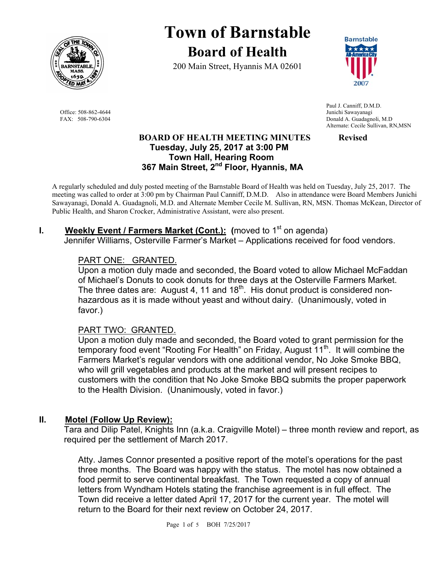

Office: 508-862-4644 Junichi Sawayanagi<br>
FAX: 508-790-6304 Donald A. Guadagne

# **Town of Barnstable Board of Health**

200 Main Street, Hyannis MA 02601



 Paul J. Canniff, D.M.D. Donald A. Guadagnoli, M.D. Alternate: Cecile Sullivan, RN,MSN

#### **BOARD OF HEALTH MEETING MINUTES Revised Tuesday, July 25, 2017 at 3:00 PM Town Hall, Hearing Room 367 Main Street, 2nd Floor, Hyannis, MA**

A regularly scheduled and duly posted meeting of the Barnstable Board of Health was held on Tuesday, July 25, 2017. The meeting was called to order at 3:00 pm by Chairman Paul Canniff, D.M.D. Also in attendance were Board Members Junichi Sawayanagi, Donald A. Guadagnoli, M.D. and Alternate Member Cecile M. Sullivan, RN, MSN. Thomas McKean, Director of Public Health, and Sharon Crocker, Administrative Assistant, were also present.

# **I.** Weekly Event / Farmers Market (Cont.): (moved to 1<sup>st</sup> on agenda)

Jennifer Williams, Osterville Farmer's Market – Applications received for food vendors.

## PART ONE: GRANTED.

Upon a motion duly made and seconded, the Board voted to allow Michael McFaddan of Michael's Donuts to cook donuts for three days at the Osterville Farmers Market. The three dates are: August 4, 11 and  $18<sup>th</sup>$ . His donut product is considered nonhazardous as it is made without yeast and without dairy. (Unanimously, voted in favor.)

#### PART TWO: GRANTED.

Upon a motion duly made and seconded, the Board voted to grant permission for the temporary food event "Rooting For Health" on Friday, August 11<sup>th</sup>. It will combine the Farmers Market's regular vendors with one additional vendor, No Joke Smoke BBQ, who will grill vegetables and products at the market and will present recipes to customers with the condition that No Joke Smoke BBQ submits the proper paperwork to the Health Division. (Unanimously, voted in favor.)

# **II. Motel (Follow Up Review):**

Tara and Dilip Patel, Knights Inn (a.k.a. Craigville Motel) – three month review and report, as required per the settlement of March 2017.

Atty. James Connor presented a positive report of the motel's operations for the past three months. The Board was happy with the status. The motel has now obtained a food permit to serve continental breakfast. The Town requested a copy of annual letters from Wyndham Hotels stating the franchise agreement is in full effect. The Town did receive a letter dated April 17, 2017 for the current year. The motel will return to the Board for their next review on October 24, 2017.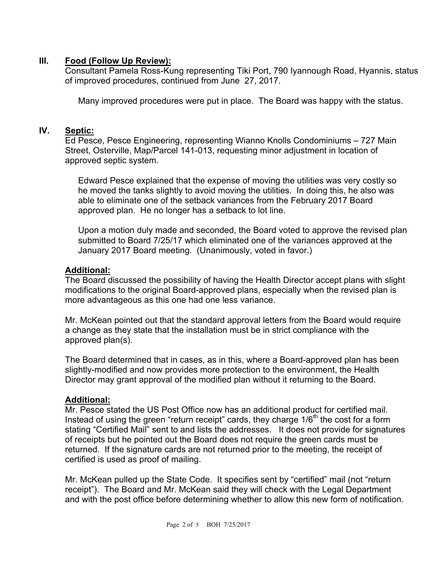## **III. Food (Follow Up Review):**

Consultant Pamela Ross-Kung representing Tiki Port, 790 Iyannough Road, Hyannis, status of improved procedures, continued from June 27, 2017.

Many improved procedures were put in place. The Board was happy with the status.

## **IV. Septic:**

Ed Pesce, Pesce Engineering, representing Wianno Knolls Condominiums – 727 Main Street, Osterville, Map/Parcel 141-013, requesting minor adjustment in location of approved septic system.

Edward Pesce explained that the expense of moving the utilities was very costly so he moved the tanks slightly to avoid moving the utilities. In doing this, he also was able to eliminate one of the setback variances from the February 2017 Board approved plan. He no longer has a setback to lot line.

Upon a motion duly made and seconded, the Board voted to approve the revised plan submitted to Board 7/25/17 which eliminated one of the variances approved at the January 2017 Board meeting. (Unanimously, voted in favor.)

#### **Additional:**

The Board discussed the possibility of having the Health Director accept plans with slight modifications to the original Board-approved plans, especially when the revised plan is more advantageous as this one had one less variance.

Mr. McKean pointed out that the standard approval letters from the Board would require a change as they state that the installation must be in strict compliance with the approved plan(s).

The Board determined that in cases, as in this, where a Board-approved plan has been slightly-modified and now provides more protection to the environment, the Health Director may grant approval of the modified plan without it returning to the Board.

#### **Additional:**

Mr. Pesce stated the US Post Office now has an additional product for certified mail. Instead of using the green "return receipt" cards, they charge  $1/6<sup>th</sup>$  the cost for a form stating "Certified Mail" sent to and lists the addresses. It does not provide for signatures of receipts but he pointed out the Board does not require the green cards must be returned. If the signature cards are not returned prior to the meeting, the receipt of certified is used as proof of mailing.

Mr. McKean pulled up the State Code. It specifies sent by "certified" mail (not "return receipt"). The Board and Mr. McKean said they will check with the Legal Department and with the post office before determining whether to allow this new form of notification.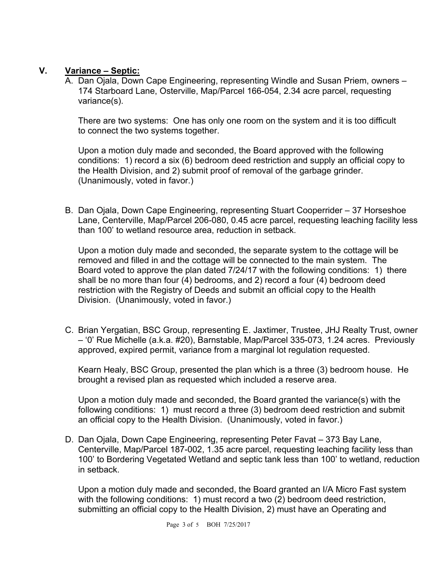# **V. Variance – Septic:**

A. Dan Ojala, Down Cape Engineering, representing Windle and Susan Priem, owners – 174 Starboard Lane, Osterville, Map/Parcel 166-054, 2.34 acre parcel, requesting variance(s).

There are two systems: One has only one room on the system and it is too difficult to connect the two systems together.

Upon a motion duly made and seconded, the Board approved with the following conditions: 1) record a six (6) bedroom deed restriction and supply an official copy to the Health Division, and 2) submit proof of removal of the garbage grinder. (Unanimously, voted in favor.)

B. Dan Ojala, Down Cape Engineering, representing Stuart Cooperrider – 37 Horseshoe Lane, Centerville, Map/Parcel 206-080, 0.45 acre parcel, requesting leaching facility less than 100' to wetland resource area, reduction in setback.

Upon a motion duly made and seconded, the separate system to the cottage will be removed and filled in and the cottage will be connected to the main system. The Board voted to approve the plan dated 7/24/17 with the following conditions: 1) there shall be no more than four (4) bedrooms, and 2) record a four (4) bedroom deed restriction with the Registry of Deeds and submit an official copy to the Health Division. (Unanimously, voted in favor.)

C. Brian Yergatian, BSC Group, representing E. Jaxtimer, Trustee, JHJ Realty Trust, owner – '0' Rue Michelle (a.k.a. #20), Barnstable, Map/Parcel 335-073, 1.24 acres. Previously approved, expired permit, variance from a marginal lot regulation requested.

Kearn Healy, BSC Group, presented the plan which is a three (3) bedroom house. He brought a revised plan as requested which included a reserve area.

Upon a motion duly made and seconded, the Board granted the variance(s) with the following conditions: 1) must record a three (3) bedroom deed restriction and submit an official copy to the Health Division. (Unanimously, voted in favor.)

D. Dan Ojala, Down Cape Engineering, representing Peter Favat – 373 Bay Lane, Centerville, Map/Parcel 187-002, 1.35 acre parcel, requesting leaching facility less than 100' to Bordering Vegetated Wetland and septic tank less than 100' to wetland, reduction in setback.

Upon a motion duly made and seconded, the Board granted an I/A Micro Fast system with the following conditions: 1) must record a two (2) bedroom deed restriction, submitting an official copy to the Health Division, 2) must have an Operating and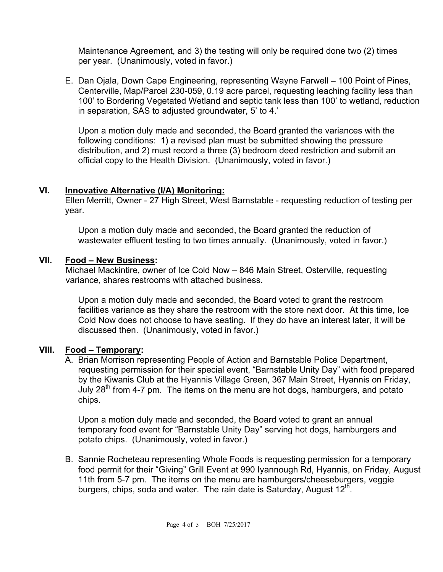Maintenance Agreement, and 3) the testing will only be required done two (2) times per year. (Unanimously, voted in favor.)

E. Dan Ojala, Down Cape Engineering, representing Wayne Farwell – 100 Point of Pines, Centerville, Map/Parcel 230-059, 0.19 acre parcel, requesting leaching facility less than 100' to Bordering Vegetated Wetland and septic tank less than 100' to wetland, reduction in separation, SAS to adjusted groundwater, 5' to 4.'

Upon a motion duly made and seconded, the Board granted the variances with the following conditions: 1) a revised plan must be submitted showing the pressure distribution, and 2) must record a three (3) bedroom deed restriction and submit an official copy to the Health Division. (Unanimously, voted in favor.)

#### **VI. Innovative Alternative (I/A) Monitoring:**

Ellen Merritt, Owner - 27 High Street, West Barnstable - requesting reduction of testing per year.

Upon a motion duly made and seconded, the Board granted the reduction of wastewater effluent testing to two times annually. (Unanimously, voted in favor.)

## **VII. Food – New Business:**

Michael Mackintire, owner of Ice Cold Now – 846 Main Street, Osterville, requesting variance, shares restrooms with attached business.

Upon a motion duly made and seconded, the Board voted to grant the restroom facilities variance as they share the restroom with the store next door. At this time, Ice Cold Now does not choose to have seating. If they do have an interest later, it will be discussed then. (Unanimously, voted in favor.)

# **VIII. Food – Temporary:**

A. Brian Morrison representing People of Action and Barnstable Police Department, requesting permission for their special event, "Barnstable Unity Day" with food prepared by the Kiwanis Club at the Hyannis Village Green, 367 Main Street, Hyannis on Friday, July 28<sup>th</sup> from 4-7 pm. The items on the menu are hot dogs, hamburgers, and potato chips.

Upon a motion duly made and seconded, the Board voted to grant an annual temporary food event for "Barnstable Unity Day" serving hot dogs, hamburgers and potato chips. (Unanimously, voted in favor.)

B. Sannie Rocheteau representing Whole Foods is requesting permission for a temporary food permit for their "Giving" Grill Event at 990 Iyannough Rd, Hyannis, on Friday, August 11th from 5-7 pm. The items on the menu are hamburgers/cheeseburgers, veggie burgers, chips, soda and water. The rain date is Saturday, August  $12<sup>th</sup>$ .